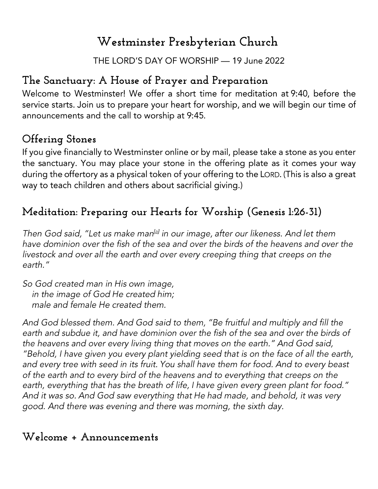# **Westminster Presbyterian Church**

THE LORD'S DAY OF WORSHIP - 19 June 2022

## **The Sanctuary: A House of Prayer and Preparation**

Welcome to Westminster! We offer a short time for meditation at 9:40, before the service starts. Join us to prepare your heart for worship, and we will begin our time of announcements and the call to worship at 9:45.

## **Offering Stones**

If you give financially to Westminster online or by mail, please take a stone as you enter the sanctuary. You may place your stone in the offering plate as it comes your way during the offertory as a physical token of your offering to the LORD. (This is also a great way to teach children and others about sacrificial giving.)

# **Meditation: Preparing our Hearts for Worship (Genesis 1:26-31)**

Then God said, "Let us make man<sup>[a]</sup> in our image, after our likeness. And let them have dominion over the fish of the sea and over the birds of the heavens and over the livestock and over all the earth and over every creeping thing that creeps on the earth."

So God created man in His own image, in the image of God He created him; male and female He created them.

And God blessed them. And God said to them, "Be fruitful and multiply and fill the earth and subdue it, and have dominion over the fish of the sea and over the birds of the heavens and over every living thing that moves on the earth." And God said, "Behold, I have given you every plant yielding seed that is on the face of all the earth, and every tree with seed in its fruit. You shall have them for food. And to every beast of the earth and to every bird of the heavens and to everything that creeps on the earth, everything that has the breath of life, I have given every green plant for food." And it was so. And God saw everything that He had made, and behold, it was very good. And there was evening and there was morning, the sixth day.

#### **Welcome + Announcements**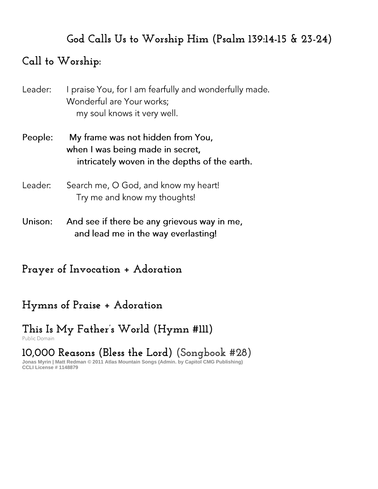## **God Calls Us to Worship Him (Psalm 139:14-15 & 23-24)**

#### **Call to Worship:**

| Leader: | I praise You, for I am fearfully and wonderfully made<br>Wonderful are Your works;<br>my soul knows it very well.      |
|---------|------------------------------------------------------------------------------------------------------------------------|
| People: | My frame was not hidden from You,<br>when I was being made in secret,<br>intricately woven in the depths of the earth. |
| Leader: | Search me, O God, and know my heart!<br>Try me and know my thoughts!                                                   |
| Unison: | And see if there be any grievous way in me,<br>and lead me in the way everlasting!                                     |

**Prayer of Invocation + Adoration**

## **Hymns of Praise + Adoration**

# **This Is My Father's World (Hymn #111)**

**10,000 Reasons (Bless the Lord) (Songbook #28)**

**Jonas Myrin | Matt Redman © 2011 Atlas Mountain Songs (Admin. by Capitol CMG Publishing) CCLI License # 1148879**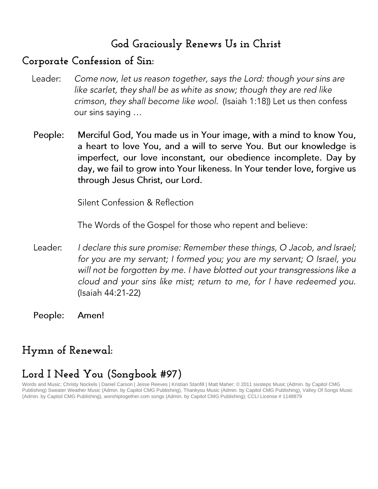#### **God Graciously Renews Us in Christ**

#### **Corporate Confession of Sin:**

- Leader: Come now, let us reason together, says the Lord: though your sins are like scarlet, they shall be as white as snow; though they are red like crimson, they shall become like wool. (Isaiah 1:18)) Let us then confess our sins saying ...
- Merciful God, You made us in Your image, with a mind to know You, People: a heart to love You, and a will to serve You. But our knowledge is imperfect, our love inconstant, our obedience incomplete. Day by day, we fail to grow into Your likeness. In Your tender love, forgive us through Jesus Christ, our Lord.

Silent Confession & Reflection

The Words of the Gospel for those who repent and believe:

- Leader: I declare this sure promise: Remember these things, O Jacob, and Israel; for you are my servant; I formed you; you are my servant; O Israel, you will not be forgotten by me. I have blotted out your transgressions like a cloud and your sins like mist; return to me, for I have redeemed you. (Isaiah 44:21-22)
- People: Amen!

## **Hymn of Renewal:**

## **Lord I Need You (Songbook #97)**

Words and Music: Christy Nockels | Daniel Carson | Jesse Reeves | Kristian Stanfill | Matt Maher; © 2011 sixsteps Music (Admin. by Capitol CMG Publishing) Sweater Weather Music (Admin. by Capitol CMG Publishing), Thankyou Music (Admin. by Capitol CMG Publishing), Valley Of Songs Music (Admin. by Capitol CMG Publishing), worshiptogether.com songs (Admin. by Capitol CMG Publishing)*;* CCLI License # 1148879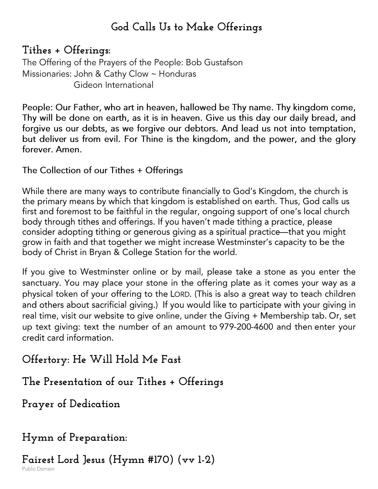#### **God Calls Us to Make Offerings**

**Tithes + Offerings:**  The Offering of the Prayers of the People: Bob Gustafson Missionaries: John & Cathy Clow ~ Honduras Gideon International

People: Our Father, who art in heaven, hallowed be Thy name. Thy kingdom come, Thy will be done on earth, as it is in heaven. Give us this day our daily bread, and forgive us our debts, as we forgive our debtors. And lead us not into temptation, but deliver us from evil. For Thine is the kingdom, and the power, and the glory forever. Amen.

The Collection of our Tithes + Offerings

While there are many ways to contribute financially to God's Kingdom, the church is the primary means by which that kingdom is established on earth. Thus, God calls us first and foremost to be faithful in the regular, ongoing support of one's local church body through tithes and offerings. If you haven't made tithing a practice, please consider adopting tithing or generous giving as a spiritual practice—that you might grow in faith and that together we might increase Westminster's capacity to be the body of Christ in Bryan & College Station for the world.

If you give to Westminster online or by mail, please take a stone as you enter the sanctuary. You may place your stone in the offering plate as it comes your way as a physical token of your offering to the LORD. (This is also a great way to teach children and others about sacrificial giving.) If you would like to participate with your giving in real time, visit our website to give online, under the Giving + Membership tab. Or, set up text giving: text the number of an amount to 979-200-4600 and then enter your credit card information.

**Offertory: He Will Hold Me Fast**

**The Presentation of our Tithes + Offerings**

**Prayer of Dedication**

**Hymn of Preparation:**

**Fairest Lord Jesus (Hymn #170) (vv 1-2)**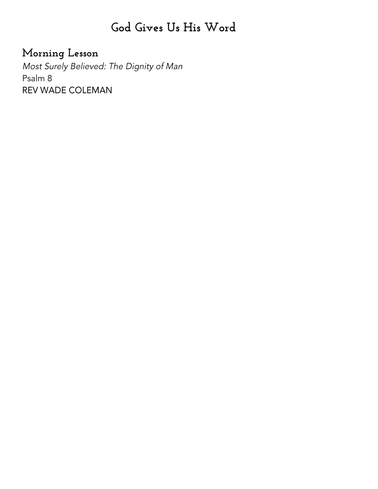# **God Gives Us His Word**

## **Morning Lesson**

Most Surely Believed: The Dignity of Man Psalm 8 REV WADE COLEMAN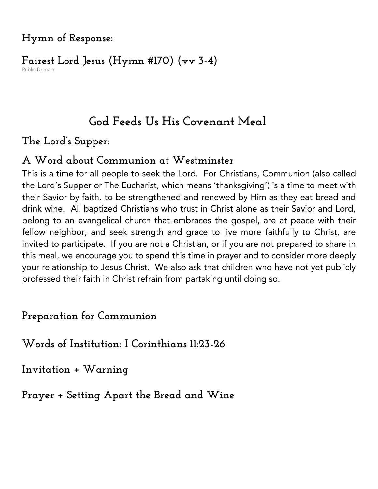## **Hymn of Response:**

## **Fairest Lord Jesus (Hymn #170) (vv 3-4)**

# **God Feeds Us His Covenant Meal**

#### **The Lord's Supper:**

#### **A Word about Communion at Westminster**

This is a time for all people to seek the Lord. For Christians, Communion (also called the Lord's Supper or The Eucharist, which means 'thanksgiving') is a time to meet with their Savior by faith, to be strengthened and renewed by Him as they eat bread and drink wine. All baptized Christians who trust in Christ alone as their Savior and Lord, belong to an evangelical church that embraces the gospel, are at peace with their fellow neighbor, and seek strength and grace to live more faithfully to Christ, are invited to participate. If you are not a Christian, or if you are not prepared to share in this meal, we encourage you to spend this time in prayer and to consider more deeply your relationship to Jesus Christ. We also ask that children who have not yet publicly professed their faith in Christ refrain from partaking until doing so.

## **Preparation for Communion**

**Words of Institution: I Corinthians 11:23-26**

**Invitation + Warning**

**Prayer + Setting Apart the Bread and Wine**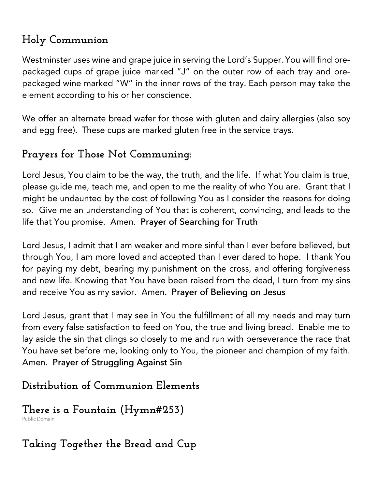# **Holy Communion**

Westminster uses wine and grape juice in serving the Lord's Supper. You will find prepackaged cups of grape juice marked "J" on the outer row of each tray and prepackaged wine marked "W" in the inner rows of the tray. Each person may take the element according to his or her conscience.

We offer an alternate bread wafer for those with gluten and dairy allergies (also soy and egg free). These cups are marked gluten free in the service trays.

## **Prayers for Those Not Communing:**

Lord Jesus, You claim to be the way, the truth, and the life. If what You claim is true, please quide me, teach me, and open to me the reality of who You are. Grant that I might be undaunted by the cost of following You as I consider the reasons for doing so. Give me an understanding of You that is coherent, convincing, and leads to the life that You promise. Amen. Prayer of Searching for Truth

Lord Jesus, I admit that I am weaker and more sinful than I ever before believed, but through You, I am more loved and accepted than I ever dared to hope. I thank You for paying my debt, bearing my punishment on the cross, and offering forgiveness and new life. Knowing that You have been raised from the dead, I turn from my sins and receive You as my savior. Amen. Prayer of Believing on Jesus

Lord Jesus, grant that I may see in You the fulfillment of all my needs and may turn from every false satisfaction to feed on You, the true and living bread. Enable me to lay aside the sin that clings so closely to me and run with perseverance the race that You have set before me, looking only to You, the pioneer and champion of my faith. Amen. Prayer of Struggling Against Sin

## **Distribution of Communion Elements**

# **There is a Fountain (Hymn#253)**

**Taking Together the Bread and Cup**